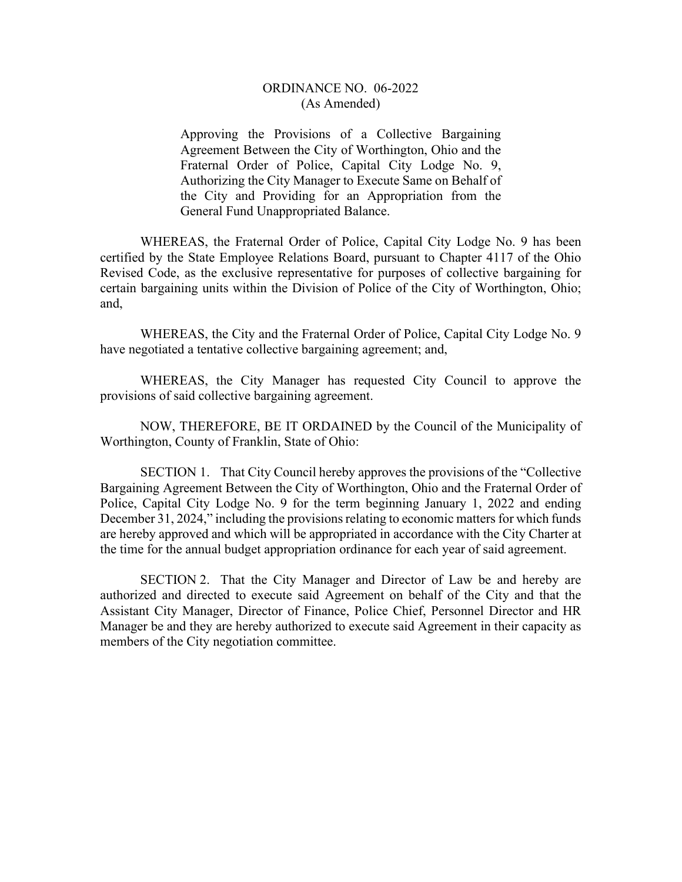## ORDINANCE NO. 06-2022 (As Amended)

Approving the Provisions of a Collective Bargaining Agreement Between the City of Worthington, Ohio and the Fraternal Order of Police, Capital City Lodge No. 9, Authorizing the City Manager to Execute Same on Behalf of the City and Providing for an Appropriation from the General Fund Unappropriated Balance.

WHEREAS, the Fraternal Order of Police, Capital City Lodge No. 9 has been certified by the State Employee Relations Board, pursuant to Chapter 4117 of the Ohio Revised Code, as the exclusive representative for purposes of collective bargaining for certain bargaining units within the Division of Police of the City of Worthington, Ohio; and,

WHEREAS, the City and the Fraternal Order of Police, Capital City Lodge No. 9 have negotiated a tentative collective bargaining agreement; and,

WHEREAS, the City Manager has requested City Council to approve the provisions of said collective bargaining agreement.

NOW, THEREFORE, BE IT ORDAINED by the Council of the Municipality of Worthington, County of Franklin, State of Ohio:

SECTION 1. That City Council hereby approves the provisions of the "Collective Bargaining Agreement Between the City of Worthington, Ohio and the Fraternal Order of Police, Capital City Lodge No. 9 for the term beginning January 1, 2022 and ending December 31, 2024," including the provisions relating to economic matters for which funds are hereby approved and which will be appropriated in accordance with the City Charter at the time for the annual budget appropriation ordinance for each year of said agreement.

SECTION 2. That the City Manager and Director of Law be and hereby are authorized and directed to execute said Agreement on behalf of the City and that the Assistant City Manager, Director of Finance, Police Chief, Personnel Director and HR Manager be and they are hereby authorized to execute said Agreement in their capacity as members of the City negotiation committee.